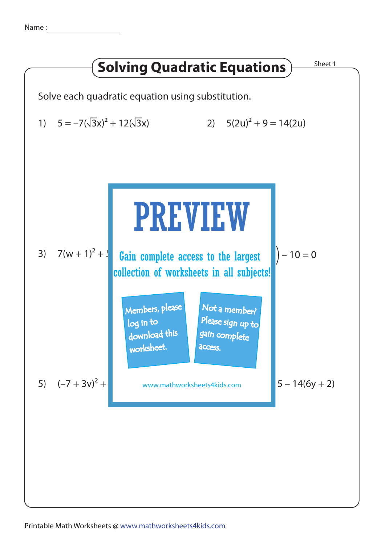